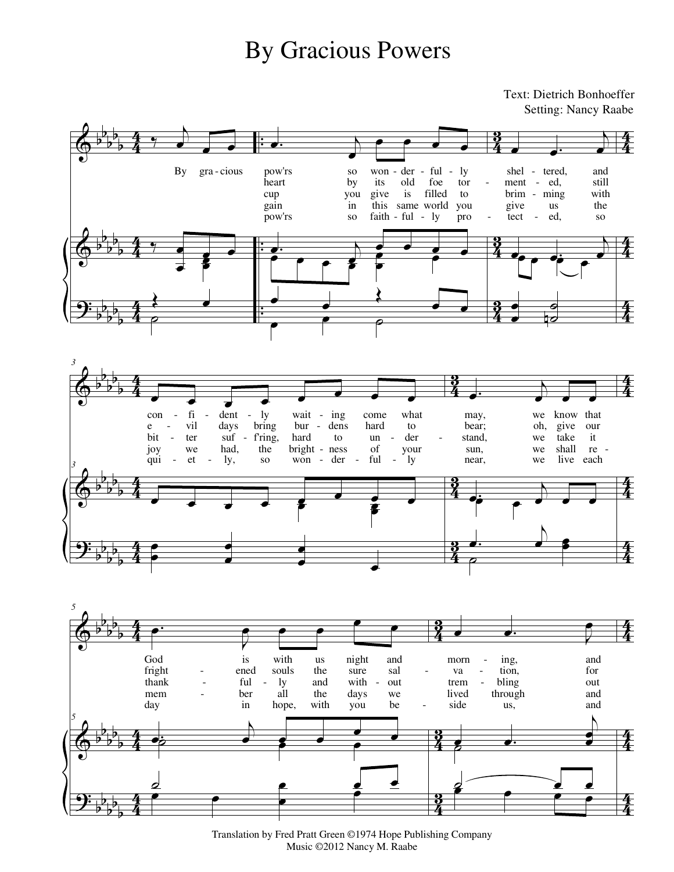## By Gracious Powers

Text: Dietrich Bonhoeffer Setting: Nancy Raabe







Translation by Fred Pratt Green ©1974 Hope Publishing Company Music ©2012 Nancy M. Raabe